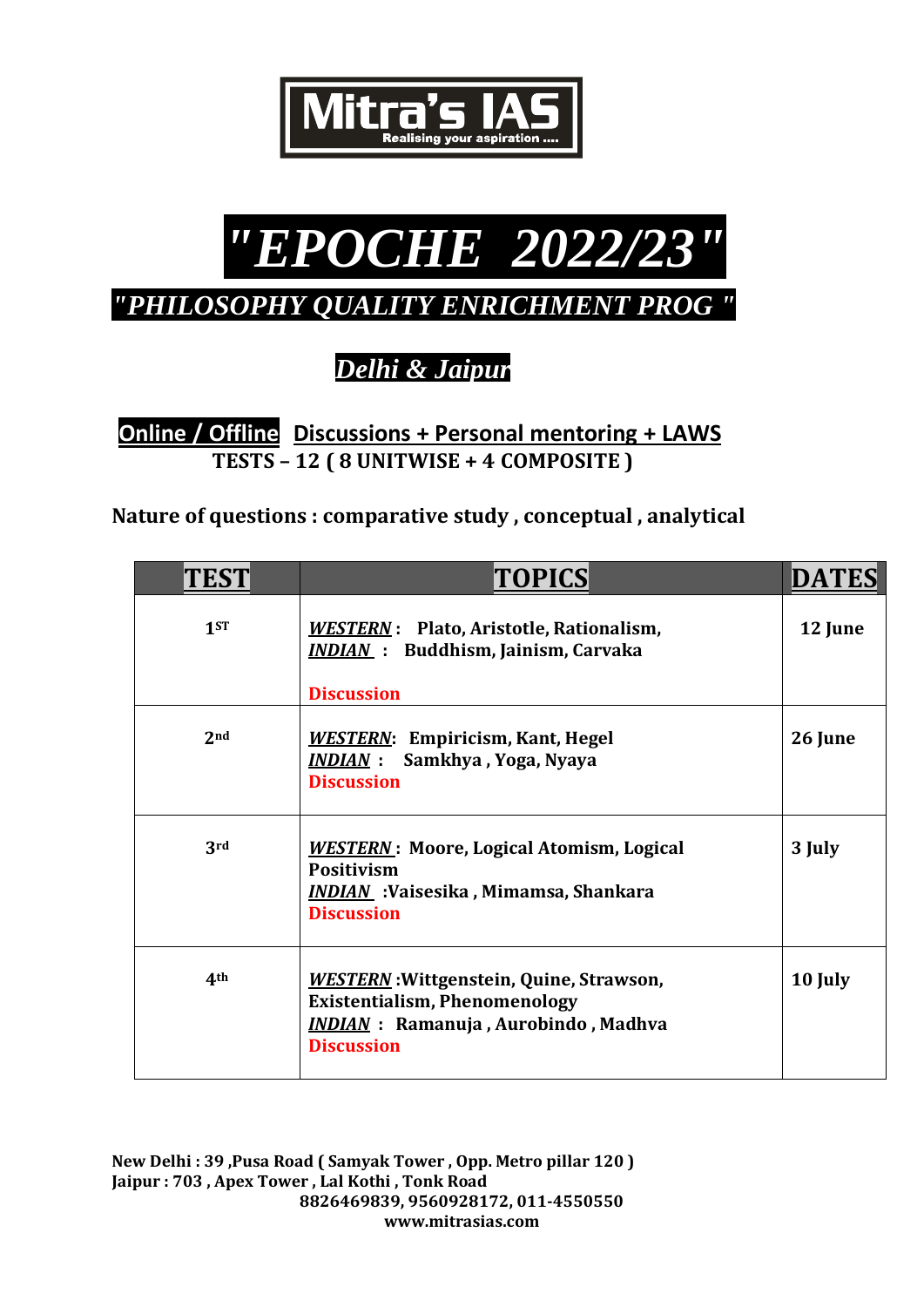



*"PHILOSOPHY QUALITY ENRICHMENT PROG "*

*Delhi & Jaipur* 

**Online / Offline****Discussions + Personal mentoring + LAWS TESTS – 12 ( 8 UNITWISE + 4 COMPOSITE )** 

**Nature of questions : comparative study , conceptual , analytical**

| <b>TES</b>      | TOPICS                                                                                                                                                     | <b>DATES</b> |
|-----------------|------------------------------------------------------------------------------------------------------------------------------------------------------------|--------------|
| 1 <sub>ST</sub> | WESTERN: Plato, Aristotle, Rationalism,<br><b>INDIAN</b> : Buddhism, Jainism, Carvaka                                                                      | 12 June      |
|                 | <b>Discussion</b>                                                                                                                                          |              |
| 2 <sub>nd</sub> | <b>WESTERN:</b> Empiricism, Kant, Hegel<br><b>INDIAN</b> : Samkhya, Yoga, Nyaya<br><b>Discussion</b>                                                       | 26 June      |
| 3rd             | <b>WESTERN:</b> Moore, Logical Atomism, Logical<br><b>Positivism</b><br><b>INDIAN</b> : Vaisesika, Mimamsa, Shankara<br><b>Discussion</b>                  | 3 July       |
| 4 <sup>th</sup> | <b>WESTERN: Wittgenstein, Quine, Strawson,</b><br><b>Existentialism, Phenomenology</b><br><b>INDIAN</b> : Ramanuja, Aurobindo, Madhva<br><b>Discussion</b> | 10 July      |

**New Delhi : 39 ,Pusa Road ( Samyak Tower , Opp. Metro pillar 120 ) Jaipur : 703 , Apex Tower , Lal Kothi , Tonk Road 8826469839, 9560928172, 011-4550550 www.mitrasias.com**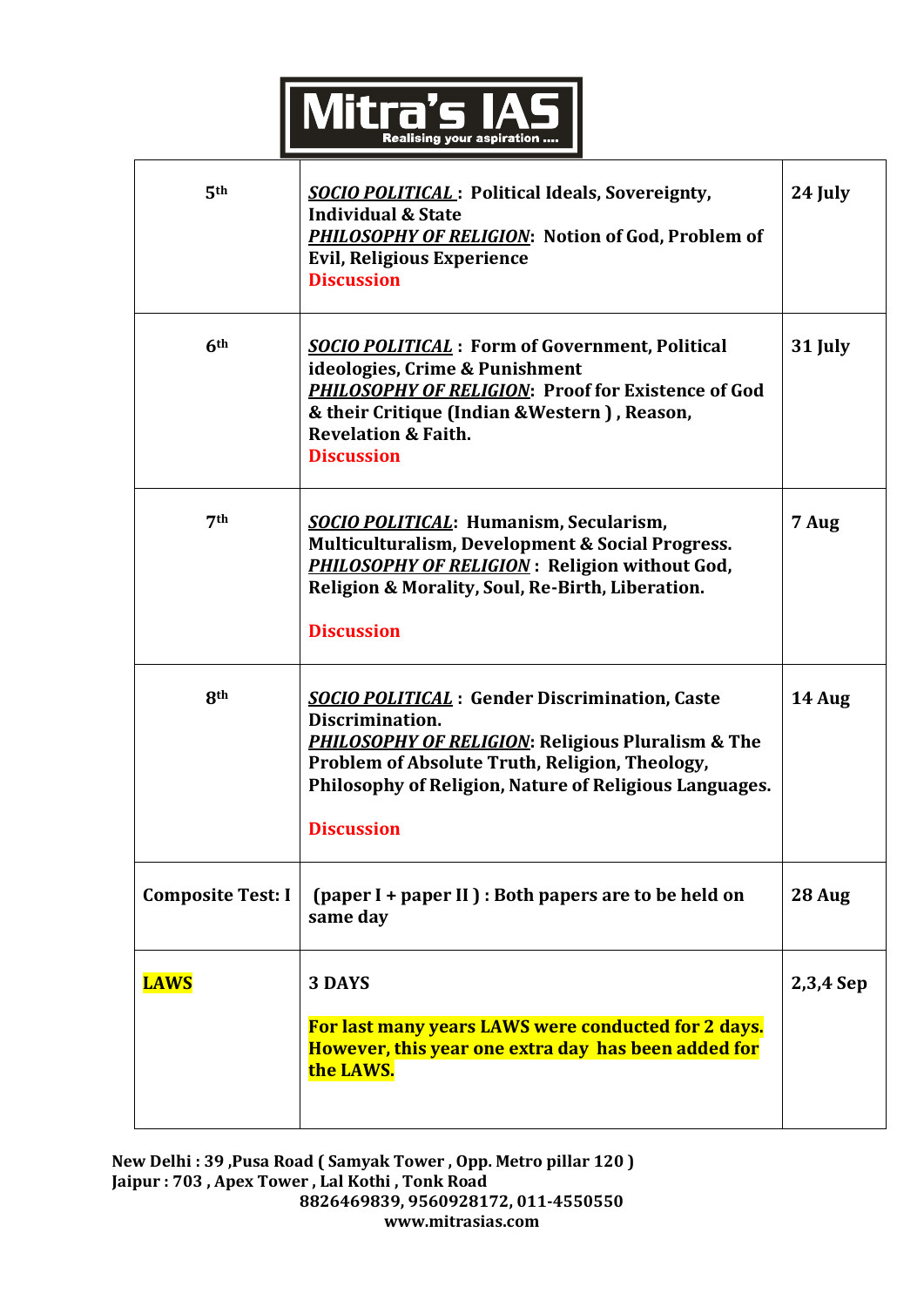

| 5th                      | <b>SOCIO POLITICAL</b> : Political Ideals, Sovereignty,<br><b>Individual &amp; State</b><br>PHILOSOPHY OF RELIGION: Notion of God, Problem of<br><b>Evil, Religious Experience</b><br><b>Discussion</b>                                                                  | 24 July   |
|--------------------------|--------------------------------------------------------------------------------------------------------------------------------------------------------------------------------------------------------------------------------------------------------------------------|-----------|
| 6th                      | <b>SOCIO POLITICAL</b> : Form of Government, Political<br>ideologies, Crime & Punishment<br>PHILOSOPHY OF RELIGION: Proof for Existence of God<br>& their Critique (Indian & Western), Reason,<br><b>Revelation &amp; Faith.</b><br><b>Discussion</b>                    | 31 July   |
| 7 <sup>th</sup>          | <b>SOCIO POLITICAL: Humanism, Secularism,</b><br>Multiculturalism, Development & Social Progress.<br><b>PHILOSOPHY OF RELIGION: Religion without God,</b><br>Religion & Morality, Soul, Re-Birth, Liberation.<br><b>Discussion</b>                                       | 7 Aug     |
| 8 <sup>th</sup>          | <b>SOCIO POLITICAL: Gender Discrimination, Caste</b><br>Discrimination.<br><b>PHILOSOPHY OF RELIGION: Religious Pluralism &amp; The</b><br>Problem of Absolute Truth, Religion, Theology,<br>Philosophy of Religion, Nature of Religious Languages.<br><b>Discussion</b> | 14 Aug    |
| <b>Composite Test: I</b> | (paper I + paper II) : Both papers are to be held on<br>same day                                                                                                                                                                                                         | 28 Aug    |
| <b>LAWS</b>              | 3 DAYS<br>For last many years LAWS were conducted for 2 days.<br>However, this year one extra day has been added for<br>the LAWS.                                                                                                                                        | 2,3,4 Sep |

**New Delhi : 39 ,Pusa Road ( Samyak Tower , Opp. Metro pillar 120 ) Jaipur : 703 , Apex Tower , Lal Kothi , Tonk Road 8826469839, 9560928172, 011-4550550 www.mitrasias.com**